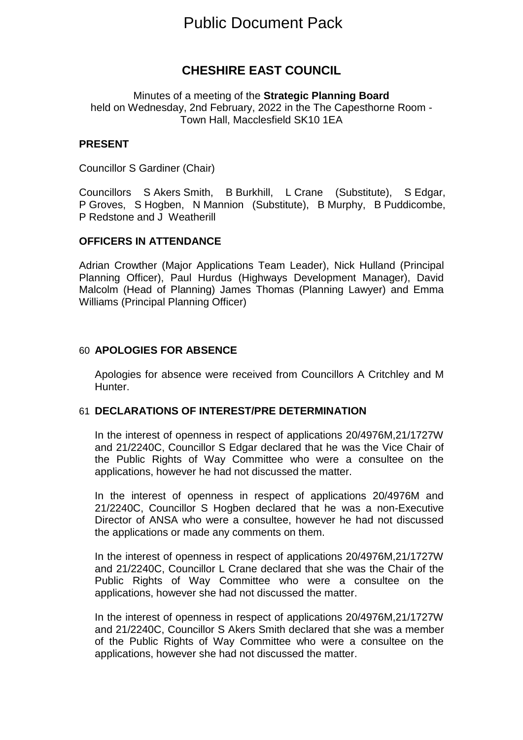# Public Document Pack

## **CHESHIRE EAST COUNCIL**

Minutes of a meeting of the **Strategic Planning Board** held on Wednesday, 2nd February, 2022 in the The Capesthorne Room - Town Hall, Macclesfield SK10 1EA

#### **PRESENT**

Councillor S Gardiner (Chair)

Councillors S Akers Smith, B Burkhill, L Crane (Substitute), S Edgar, P Groves, S Hogben, N Mannion (Substitute), B Murphy, B Puddicombe, P Redstone and J Weatherill

#### **OFFICERS IN ATTENDANCE**

Adrian Crowther (Major Applications Team Leader), Nick Hulland (Principal Planning Officer), Paul Hurdus (Highways Development Manager), David Malcolm (Head of Planning) James Thomas (Planning Lawyer) and Emma Williams (Principal Planning Officer)

#### 60 **APOLOGIES FOR ABSENCE**

Apologies for absence were received from Councillors A Critchley and M Hunter.

#### 61 **DECLARATIONS OF INTEREST/PRE DETERMINATION**

In the interest of openness in respect of applications 20/4976M,21/1727W and 21/2240C, Councillor S Edgar declared that he was the Vice Chair of the Public Rights of Way Committee who were a consultee on the applications, however he had not discussed the matter.

In the interest of openness in respect of applications 20/4976M and 21/2240C, Councillor S Hogben declared that he was a non-Executive Director of ANSA who were a consultee, however he had not discussed the applications or made any comments on them.

In the interest of openness in respect of applications 20/4976M,21/1727W and 21/2240C, Councillor L Crane declared that she was the Chair of the Public Rights of Way Committee who were a consultee on the applications, however she had not discussed the matter.

In the interest of openness in respect of applications 20/4976M,21/1727W and 21/2240C, Councillor S Akers Smith declared that she was a member of the Public Rights of Way Committee who were a consultee on the applications, however she had not discussed the matter.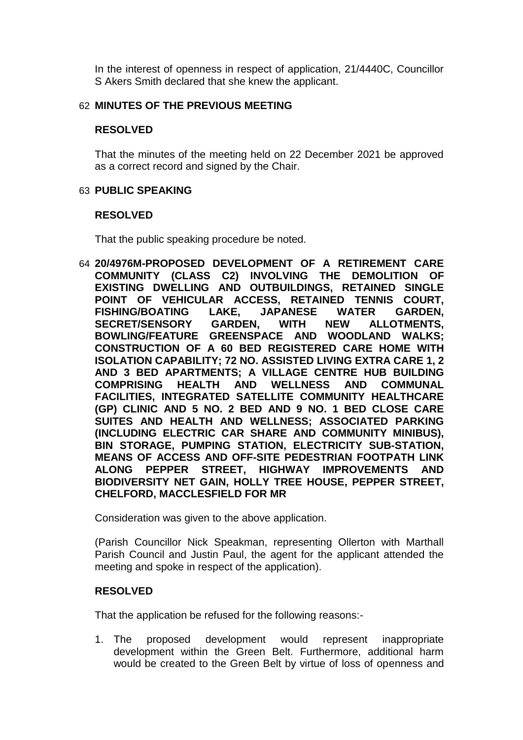In the interest of openness in respect of application, 21/4440C, Councillor S Akers Smith declared that she knew the applicant.

#### 62 **MINUTES OF THE PREVIOUS MEETING**

#### **RESOLVED**

That the minutes of the meeting held on 22 December 2021 be approved as a correct record and signed by the Chair.

#### 63 **PUBLIC SPEAKING**

#### **RESOLVED**

That the public speaking procedure be noted.

64 **20/4976M-PROPOSED DEVELOPMENT OF A RETIREMENT CARE COMMUNITY (CLASS C2) INVOLVING THE DEMOLITION OF EXISTING DWELLING AND OUTBUILDINGS, RETAINED SINGLE POINT OF VEHICULAR ACCESS, RETAINED TENNIS COURT, FISHING/BOATING LAKE, JAPANESE WATER GARDEN, SECRET/SENSORY GARDEN, WITH NEW ALLOTMENTS, BOWLING/FEATURE GREENSPACE AND WOODLAND WALKS; CONSTRUCTION OF A 60 BED REGISTERED CARE HOME WITH ISOLATION CAPABILITY; 72 NO. ASSISTED LIVING EXTRA CARE 1, 2 AND 3 BED APARTMENTS; A VILLAGE CENTRE HUB BUILDING COMPRISING HEALTH AND WELLNESS AND COMMUNAL FACILITIES, INTEGRATED SATELLITE COMMUNITY HEALTHCARE (GP) CLINIC AND 5 NO. 2 BED AND 9 NO. 1 BED CLOSE CARE SUITES AND HEALTH AND WELLNESS; ASSOCIATED PARKING (INCLUDING ELECTRIC CAR SHARE AND COMMUNITY MINIBUS), BIN STORAGE, PUMPING STATION, ELECTRICITY SUB-STATION, MEANS OF ACCESS AND OFF-SITE PEDESTRIAN FOOTPATH LINK ALONG PEPPER STREET, HIGHWAY IMPROVEMENTS AND BIODIVERSITY NET GAIN, HOLLY TREE HOUSE, PEPPER STREET, CHELFORD, MACCLESFIELD FOR MR**

Consideration was given to the above application.

(Parish Councillor Nick Speakman, representing Ollerton with Marthall Parish Council and Justin Paul, the agent for the applicant attended the meeting and spoke in respect of the application).

## **RESOLVED**

That the application be refused for the following reasons:-

1. The proposed development would represent inappropriate development within the Green Belt. Furthermore, additional harm would be created to the Green Belt by virtue of loss of openness and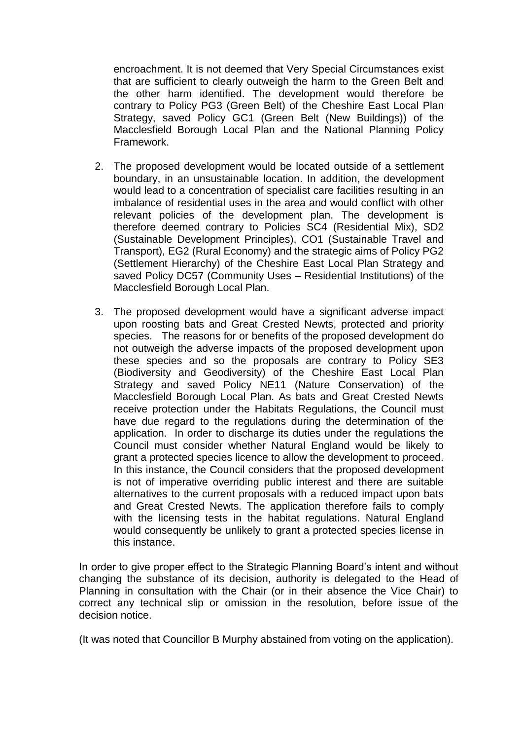encroachment. It is not deemed that Very Special Circumstances exist that are sufficient to clearly outweigh the harm to the Green Belt and the other harm identified. The development would therefore be contrary to Policy PG3 (Green Belt) of the Cheshire East Local Plan Strategy, saved Policy GC1 (Green Belt (New Buildings)) of the Macclesfield Borough Local Plan and the National Planning Policy Framework.

- 2. The proposed development would be located outside of a settlement boundary, in an unsustainable location. In addition, the development would lead to a concentration of specialist care facilities resulting in an imbalance of residential uses in the area and would conflict with other relevant policies of the development plan. The development is therefore deemed contrary to Policies SC4 (Residential Mix), SD2 (Sustainable Development Principles), CO1 (Sustainable Travel and Transport), EG2 (Rural Economy) and the strategic aims of Policy PG2 (Settlement Hierarchy) of the Cheshire East Local Plan Strategy and saved Policy DC57 (Community Uses – Residential Institutions) of the Macclesfield Borough Local Plan.
- 3. The proposed development would have a significant adverse impact upon roosting bats and Great Crested Newts, protected and priority species. The reasons for or benefits of the proposed development do not outweigh the adverse impacts of the proposed development upon these species and so the proposals are contrary to Policy SE3 (Biodiversity and Geodiversity) of the Cheshire East Local Plan Strategy and saved Policy NE11 (Nature Conservation) of the Macclesfield Borough Local Plan. As bats and Great Crested Newts receive protection under the Habitats Regulations, the Council must have due regard to the regulations during the determination of the application. In order to discharge its duties under the regulations the Council must consider whether Natural England would be likely to grant a protected species licence to allow the development to proceed. In this instance, the Council considers that the proposed development is not of imperative overriding public interest and there are suitable alternatives to the current proposals with a reduced impact upon bats and Great Crested Newts. The application therefore fails to comply with the licensing tests in the habitat regulations. Natural England would consequently be unlikely to grant a protected species license in this instance.

In order to give proper effect to the Strategic Planning Board's intent and without changing the substance of its decision, authority is delegated to the Head of Planning in consultation with the Chair (or in their absence the Vice Chair) to correct any technical slip or omission in the resolution, before issue of the decision notice.

(It was noted that Councillor B Murphy abstained from voting on the application).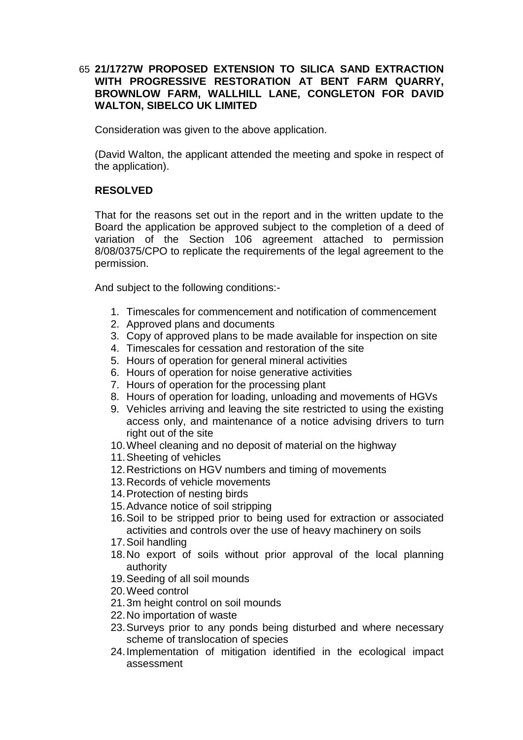## 65 **21/1727W PROPOSED EXTENSION TO SILICA SAND EXTRACTION WITH PROGRESSIVE RESTORATION AT BENT FARM QUARRY, BROWNLOW FARM, WALLHILL LANE, CONGLETON FOR DAVID WALTON, SIBELCO UK LIMITED**

Consideration was given to the above application.

(David Walton, the applicant attended the meeting and spoke in respect of the application).

## **RESOLVED**

That for the reasons set out in the report and in the written update to the Board the application be approved subject to the completion of a deed of variation of the Section 106 agreement attached to permission 8/08/0375/CPO to replicate the requirements of the legal agreement to the permission.

And subject to the following conditions:-

- 1. Timescales for commencement and notification of commencement
- 2. Approved plans and documents
- 3. Copy of approved plans to be made available for inspection on site
- 4. Timescales for cessation and restoration of the site
- 5. Hours of operation for general mineral activities
- 6. Hours of operation for noise generative activities
- 7. Hours of operation for the processing plant
- 8. Hours of operation for loading, unloading and movements of HGVs
- 9. Vehicles arriving and leaving the site restricted to using the existing access only, and maintenance of a notice advising drivers to turn right out of the site
- 10.Wheel cleaning and no deposit of material on the highway
- 11.Sheeting of vehicles
- 12.Restrictions on HGV numbers and timing of movements
- 13.Records of vehicle movements
- 14.Protection of nesting birds
- 15.Advance notice of soil stripping
- 16.Soil to be stripped prior to being used for extraction or associated activities and controls over the use of heavy machinery on soils
- 17.Soil handling
- 18.No export of soils without prior approval of the local planning authority
- 19.Seeding of all soil mounds
- 20.Weed control
- 21.3m height control on soil mounds
- 22.No importation of waste
- 23.Surveys prior to any ponds being disturbed and where necessary scheme of translocation of species
- 24.Implementation of mitigation identified in the ecological impact assessment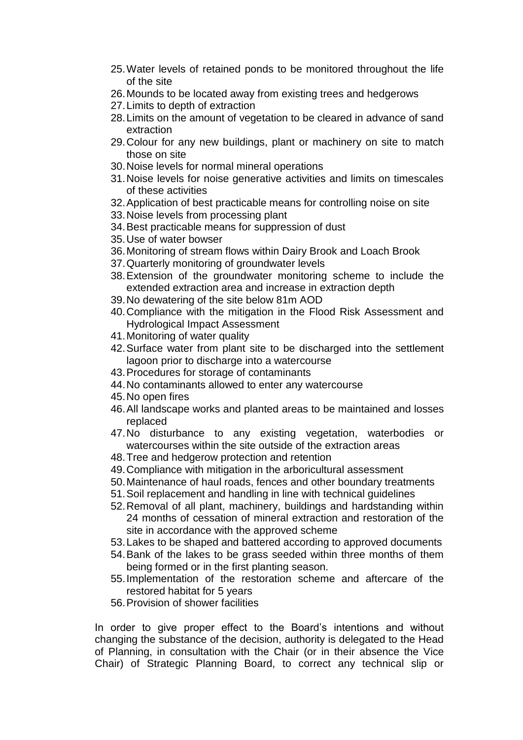- 25.Water levels of retained ponds to be monitored throughout the life of the site
- 26.Mounds to be located away from existing trees and hedgerows
- 27.Limits to depth of extraction
- 28.Limits on the amount of vegetation to be cleared in advance of sand extraction
- 29.Colour for any new buildings, plant or machinery on site to match those on site
- 30.Noise levels for normal mineral operations
- 31.Noise levels for noise generative activities and limits on timescales of these activities
- 32.Application of best practicable means for controlling noise on site
- 33.Noise levels from processing plant
- 34.Best practicable means for suppression of dust
- 35.Use of water bowser
- 36.Monitoring of stream flows within Dairy Brook and Loach Brook
- 37.Quarterly monitoring of groundwater levels
- 38.Extension of the groundwater monitoring scheme to include the extended extraction area and increase in extraction depth
- 39.No dewatering of the site below 81m AOD
- 40.Compliance with the mitigation in the Flood Risk Assessment and Hydrological Impact Assessment
- 41.Monitoring of water quality
- 42.Surface water from plant site to be discharged into the settlement lagoon prior to discharge into a watercourse
- 43.Procedures for storage of contaminants
- 44.No contaminants allowed to enter any watercourse
- 45.No open fires
- 46.All landscape works and planted areas to be maintained and losses replaced
- 47.No disturbance to any existing vegetation, waterbodies or watercourses within the site outside of the extraction areas
- 48.Tree and hedgerow protection and retention
- 49.Compliance with mitigation in the arboricultural assessment
- 50.Maintenance of haul roads, fences and other boundary treatments
- 51.Soil replacement and handling in line with technical guidelines
- 52.Removal of all plant, machinery, buildings and hardstanding within 24 months of cessation of mineral extraction and restoration of the site in accordance with the approved scheme
- 53.Lakes to be shaped and battered according to approved documents
- 54.Bank of the lakes to be grass seeded within three months of them being formed or in the first planting season.
- 55.Implementation of the restoration scheme and aftercare of the restored habitat for 5 years
- 56.Provision of shower facilities

In order to give proper effect to the Board's intentions and without changing the substance of the decision, authority is delegated to the Head of Planning, in consultation with the Chair (or in their absence the Vice Chair) of Strategic Planning Board, to correct any technical slip or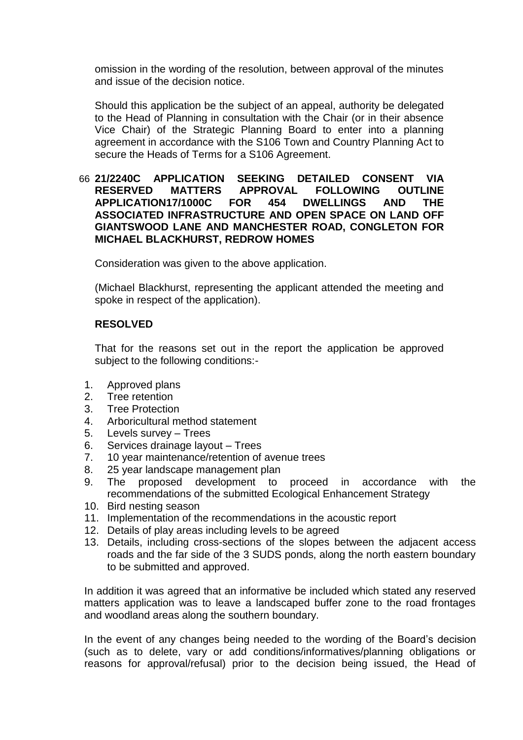omission in the wording of the resolution, between approval of the minutes and issue of the decision notice.

Should this application be the subject of an appeal, authority be delegated to the Head of Planning in consultation with the Chair (or in their absence Vice Chair) of the Strategic Planning Board to enter into a planning agreement in accordance with the S106 Town and Country Planning Act to secure the Heads of Terms for a S106 Agreement.

#### 66 **21/2240C APPLICATION SEEKING DETAILED CONSENT VIA RESERVED MATTERS APPROVAL FOLLOWING OUTLINE APPLICATION17/1000C FOR 454 DWELLINGS AND THE ASSOCIATED INFRASTRUCTURE AND OPEN SPACE ON LAND OFF GIANTSWOOD LANE AND MANCHESTER ROAD, CONGLETON FOR MICHAEL BLACKHURST, REDROW HOMES**

Consideration was given to the above application.

(Michael Blackhurst, representing the applicant attended the meeting and spoke in respect of the application).

## **RESOLVED**

That for the reasons set out in the report the application be approved subject to the following conditions:-

- 1. Approved plans
- 2. Tree retention
- 3. Tree Protection
- 4. Arboricultural method statement
- 5. Levels survey Trees
- 6. Services drainage layout Trees
- 7. 10 year maintenance/retention of avenue trees
- 8. 25 year landscape management plan
- 9. The proposed development to proceed in accordance with the recommendations of the submitted Ecological Enhancement Strategy
- 10. Bird nesting season
- 11. Implementation of the recommendations in the acoustic report
- 12. Details of play areas including levels to be agreed
- 13. Details, including cross-sections of the slopes between the adjacent access roads and the far side of the 3 SUDS ponds, along the north eastern boundary to be submitted and approved.

In addition it was agreed that an informative be included which stated any reserved matters application was to leave a landscaped buffer zone to the road frontages and woodland areas along the southern boundary.

In the event of any changes being needed to the wording of the Board's decision (such as to delete, vary or add conditions/informatives/planning obligations or reasons for approval/refusal) prior to the decision being issued, the Head of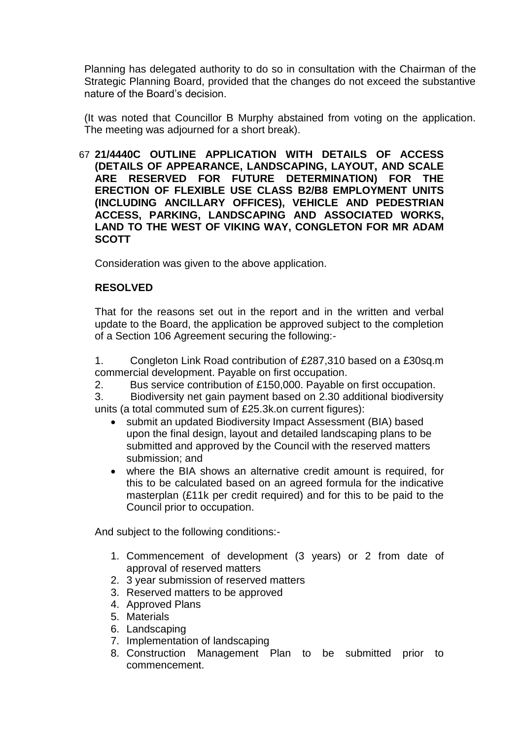Planning has delegated authority to do so in consultation with the Chairman of the Strategic Planning Board, provided that the changes do not exceed the substantive nature of the Board's decision.

(It was noted that Councillor B Murphy abstained from voting on the application. The meeting was adjourned for a short break).

67 **21/4440C OUTLINE APPLICATION WITH DETAILS OF ACCESS (DETAILS OF APPEARANCE, LANDSCAPING, LAYOUT, AND SCALE ARE RESERVED FOR FUTURE DETERMINATION) FOR THE ERECTION OF FLEXIBLE USE CLASS B2/B8 EMPLOYMENT UNITS (INCLUDING ANCILLARY OFFICES), VEHICLE AND PEDESTRIAN ACCESS, PARKING, LANDSCAPING AND ASSOCIATED WORKS, LAND TO THE WEST OF VIKING WAY, CONGLETON FOR MR ADAM SCOTT**

Consideration was given to the above application.

## **RESOLVED**

That for the reasons set out in the report and in the written and verbal update to the Board, the application be approved subject to the completion of a Section 106 Agreement securing the following:-

1. Congleton Link Road contribution of £287,310 based on a £30sq.m commercial development. Payable on first occupation.

2. Bus service contribution of £150,000. Payable on first occupation.

3. Biodiversity net gain payment based on 2.30 additional biodiversity units (a total commuted sum of £25.3k.on current figures):

- submit an updated Biodiversity Impact Assessment (BIA) based upon the final design, layout and detailed landscaping plans to be submitted and approved by the Council with the reserved matters submission; and
- where the BIA shows an alternative credit amount is required, for this to be calculated based on an agreed formula for the indicative masterplan (£11k per credit required) and for this to be paid to the Council prior to occupation.

And subject to the following conditions:-

- 1. Commencement of development (3 years) or 2 from date of approval of reserved matters
- 2. 3 year submission of reserved matters
- 3. Reserved matters to be approved
- 4. Approved Plans
- 5. Materials
- 6. Landscaping
- 7. Implementation of landscaping
- 8. Construction Management Plan to be submitted prior to commencement.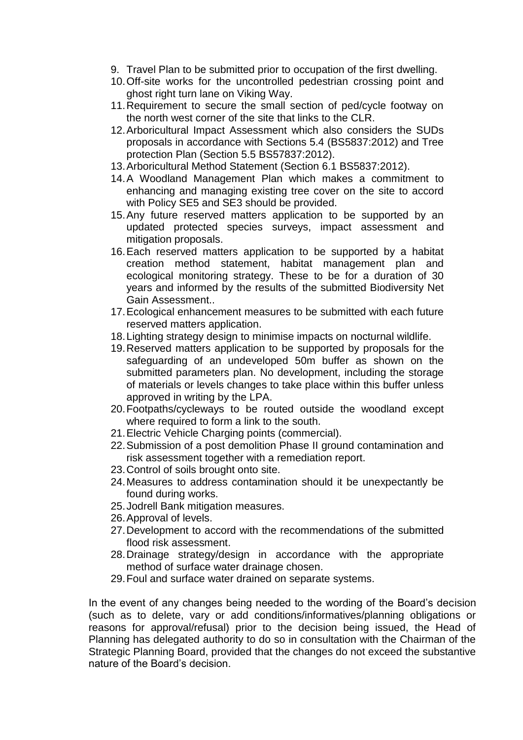- 9. Travel Plan to be submitted prior to occupation of the first dwelling.
- 10.Off-site works for the uncontrolled pedestrian crossing point and ghost right turn lane on Viking Way.
- 11.Requirement to secure the small section of ped/cycle footway on the north west corner of the site that links to the CLR.
- 12.Arboricultural Impact Assessment which also considers the SUDs proposals in accordance with Sections 5.4 (BS5837:2012) and Tree protection Plan (Section 5.5 BS57837:2012).
- 13.Arboricultural Method Statement (Section 6.1 BS5837:2012).
- 14.A Woodland Management Plan which makes a commitment to enhancing and managing existing tree cover on the site to accord with Policy SE5 and SE3 should be provided.
- 15.Any future reserved matters application to be supported by an updated protected species surveys, impact assessment and mitigation proposals.
- 16.Each reserved matters application to be supported by a habitat creation method statement, habitat management plan and ecological monitoring strategy. These to be for a duration of 30 years and informed by the results of the submitted Biodiversity Net Gain Assessment..
- 17.Ecological enhancement measures to be submitted with each future reserved matters application.
- 18.Lighting strategy design to minimise impacts on nocturnal wildlife.
- 19.Reserved matters application to be supported by proposals for the safeguarding of an undeveloped 50m buffer as shown on the submitted parameters plan. No development, including the storage of materials or levels changes to take place within this buffer unless approved in writing by the LPA.
- 20.Footpaths/cycleways to be routed outside the woodland except where required to form a link to the south.
- 21.Electric Vehicle Charging points (commercial).
- 22.Submission of a post demolition Phase II ground contamination and risk assessment together with a remediation report.
- 23.Control of soils brought onto site.
- 24.Measures to address contamination should it be unexpectantly be found during works.
- 25.Jodrell Bank mitigation measures.
- 26.Approval of levels.
- 27.Development to accord with the recommendations of the submitted flood risk assessment.
- 28.Drainage strategy/design in accordance with the appropriate method of surface water drainage chosen.
- 29.Foul and surface water drained on separate systems.

In the event of any changes being needed to the wording of the Board's decision (such as to delete, vary or add conditions/informatives/planning obligations or reasons for approval/refusal) prior to the decision being issued, the Head of Planning has delegated authority to do so in consultation with the Chairman of the Strategic Planning Board, provided that the changes do not exceed the substantive nature of the Board's decision.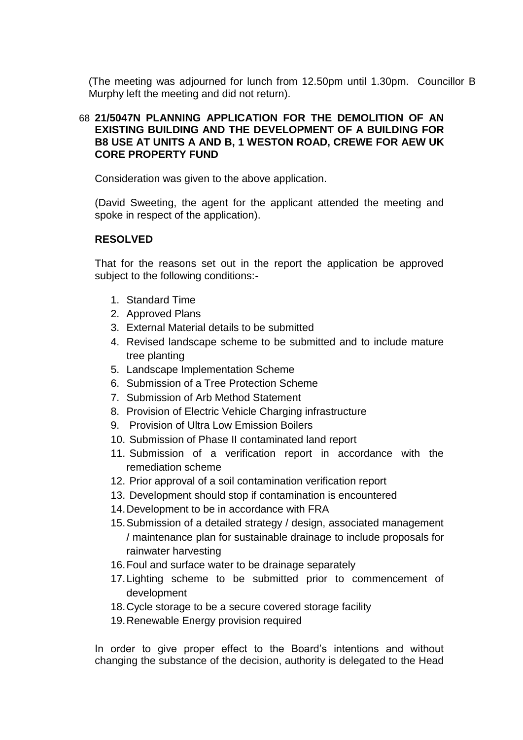(The meeting was adjourned for lunch from 12.50pm until 1.30pm. Councillor B Murphy left the meeting and did not return).

## 68 **21/5047N PLANNING APPLICATION FOR THE DEMOLITION OF AN EXISTING BUILDING AND THE DEVELOPMENT OF A BUILDING FOR B8 USE AT UNITS A AND B, 1 WESTON ROAD, CREWE FOR AEW UK CORE PROPERTY FUND**

Consideration was given to the above application.

(David Sweeting, the agent for the applicant attended the meeting and spoke in respect of the application).

## **RESOLVED**

That for the reasons set out in the report the application be approved subject to the following conditions:-

- 1. Standard Time
- 2. Approved Plans
- 3. External Material details to be submitted
- 4. Revised landscape scheme to be submitted and to include mature tree planting
- 5. Landscape Implementation Scheme
- 6. Submission of a Tree Protection Scheme
- 7. Submission of Arb Method Statement
- 8. Provision of Electric Vehicle Charging infrastructure
- 9. Provision of Ultra Low Emission Boilers
- 10. Submission of Phase II contaminated land report
- 11. Submission of a verification report in accordance with the remediation scheme
- 12. Prior approval of a soil contamination verification report
- 13. Development should stop if contamination is encountered
- 14.Development to be in accordance with FRA
- 15.Submission of a detailed strategy / design, associated management / maintenance plan for sustainable drainage to include proposals for rainwater harvesting
- 16.Foul and surface water to be drainage separately
- 17.Lighting scheme to be submitted prior to commencement of development
- 18.Cycle storage to be a secure covered storage facility
- 19.Renewable Energy provision required

In order to give proper effect to the Board's intentions and without changing the substance of the decision, authority is delegated to the Head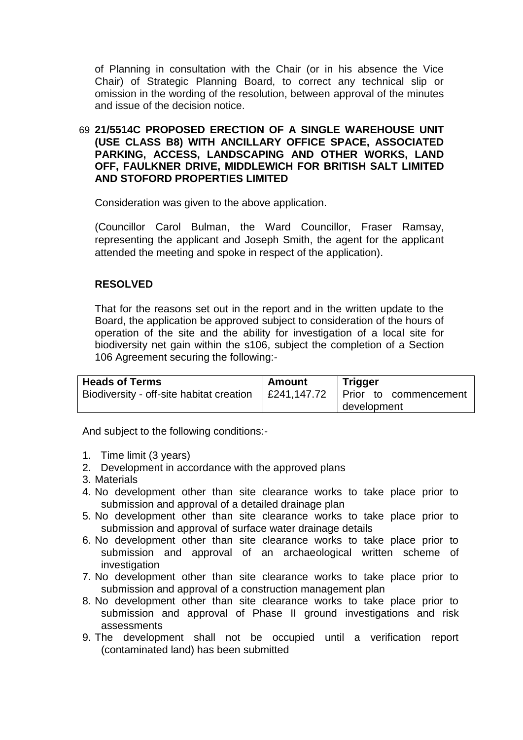of Planning in consultation with the Chair (or in his absence the Vice Chair) of Strategic Planning Board, to correct any technical slip or omission in the wording of the resolution, between approval of the minutes and issue of the decision notice.

#### 69 **21/5514C PROPOSED ERECTION OF A SINGLE WAREHOUSE UNIT (USE CLASS B8) WITH ANCILLARY OFFICE SPACE, ASSOCIATED PARKING, ACCESS, LANDSCAPING AND OTHER WORKS, LAND OFF, FAULKNER DRIVE, MIDDLEWICH FOR BRITISH SALT LIMITED AND STOFORD PROPERTIES LIMITED**

Consideration was given to the above application.

(Councillor Carol Bulman, the Ward Councillor, Fraser Ramsay, representing the applicant and Joseph Smith, the agent for the applicant attended the meeting and spoke in respect of the application).

## **RESOLVED**

That for the reasons set out in the report and in the written update to the Board, the application be approved subject to consideration of the hours of operation of the site and the ability for investigation of a local site for biodiversity net gain within the s106, subject the completion of a Section 106 Agreement securing the following:-

| <b>Heads of Terms</b>                    | Amount      | <b>Trigger</b>        |
|------------------------------------------|-------------|-----------------------|
| Biodiversity - off-site habitat creation | E241.147.72 | Prior to commencement |
|                                          |             | development           |

And subject to the following conditions:-

- 1. Time limit (3 years)
- 2. Development in accordance with the approved plans
- 3. Materials
- 4. No development other than site clearance works to take place prior to submission and approval of a detailed drainage plan
- 5. No development other than site clearance works to take place prior to submission and approval of surface water drainage details
- 6. No development other than site clearance works to take place prior to submission and approval of an archaeological written scheme of investigation
- 7. No development other than site clearance works to take place prior to submission and approval of a construction management plan
- 8. No development other than site clearance works to take place prior to submission and approval of Phase II ground investigations and risk assessments
- 9. The development shall not be occupied until a verification report (contaminated land) has been submitted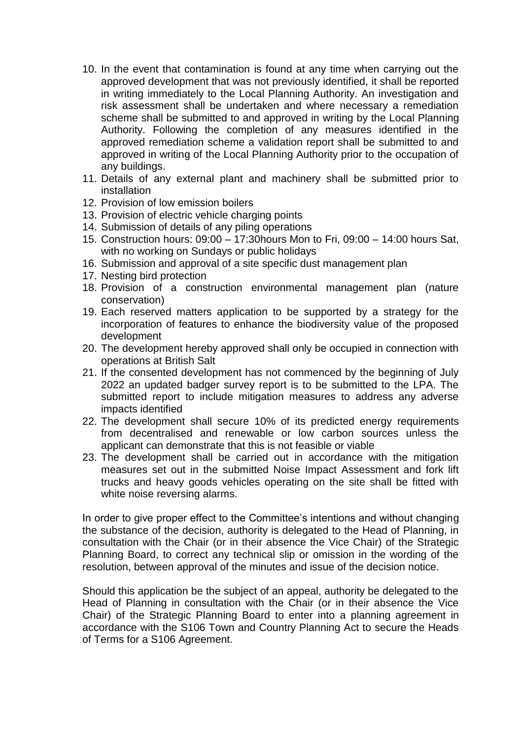- 10. In the event that contamination is found at any time when carrying out the approved development that was not previously identified, it shall be reported in writing immediately to the Local Planning Authority. An investigation and risk assessment shall be undertaken and where necessary a remediation scheme shall be submitted to and approved in writing by the Local Planning Authority. Following the completion of any measures identified in the approved remediation scheme a validation report shall be submitted to and approved in writing of the Local Planning Authority prior to the occupation of any buildings.
- 11. Details of any external plant and machinery shall be submitted prior to installation
- 12. Provision of low emission boilers
- 13. Provision of electric vehicle charging points
- 14. Submission of details of any piling operations
- 15. Construction hours: 09:00 17:30hours Mon to Fri, 09:00 14:00 hours Sat, with no working on Sundays or public holidays
- 16. Submission and approval of a site specific dust management plan
- 17. Nesting bird protection
- 18. Provision of a construction environmental management plan (nature conservation)
- 19. Each reserved matters application to be supported by a strategy for the incorporation of features to enhance the biodiversity value of the proposed development
- 20. The development hereby approved shall only be occupied in connection with operations at British Salt
- 21. If the consented development has not commenced by the beginning of July 2022 an updated badger survey report is to be submitted to the LPA. The submitted report to include mitigation measures to address any adverse impacts identified
- 22. The development shall secure 10% of its predicted energy requirements from decentralised and renewable or low carbon sources unless the applicant can demonstrate that this is not feasible or viable
- 23. The development shall be carried out in accordance with the mitigation measures set out in the submitted Noise Impact Assessment and fork lift trucks and heavy goods vehicles operating on the site shall be fitted with white noise reversing alarms.

In order to give proper effect to the Committee's intentions and without changing the substance of the decision, authority is delegated to the Head of Planning, in consultation with the Chair (or in their absence the Vice Chair) of the Strategic Planning Board, to correct any technical slip or omission in the wording of the resolution, between approval of the minutes and issue of the decision notice.

Should this application be the subject of an appeal, authority be delegated to the Head of Planning in consultation with the Chair (or in their absence the Vice Chair) of the Strategic Planning Board to enter into a planning agreement in accordance with the S106 Town and Country Planning Act to secure the Heads of Terms for a S106 Agreement.